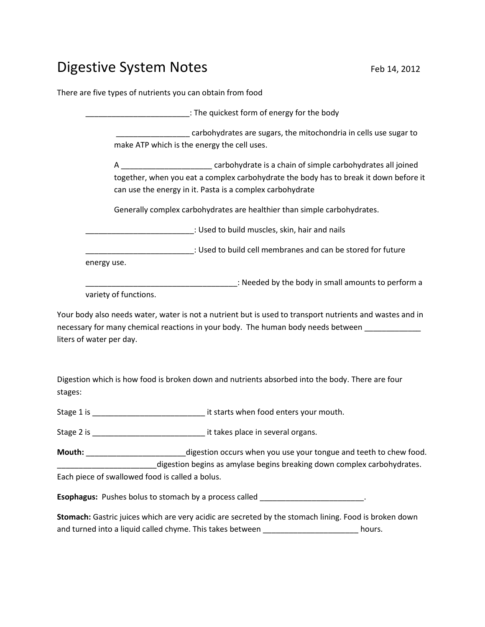## Digestive System Notes Feb 14, 2012

There are five types of nutrients you can obtain from food

\_\_\_\_\_\_\_\_\_\_\_\_\_\_\_\_\_\_\_\_\_\_\_\_: The quickest form of energy for the body carbohydrates are sugars, the mitochondria in cells use sugar to make ATP which is the energy the cell uses.

A \_\_\_\_\_\_\_\_\_\_\_\_\_\_\_\_\_\_\_\_\_ carbohydrate is a chain of simple carbohydrates all joined together, when you eat a complex carbohydrate the body has to break it down before it can use the energy in it. Pasta is a complex carbohydrate

Generally complex carbohydrates are healthier than simple carbohydrates.

\_\_\_\_\_\_\_\_\_\_\_\_\_\_\_\_\_\_\_\_\_\_\_\_\_: Used to build muscles, skin, hair and nails

\_\_\_\_\_\_\_\_\_\_\_\_\_\_\_\_\_\_\_\_\_\_\_\_\_: Used to build cell membranes and can be stored for future energy use.

\_\_\_\_\_\_\_\_\_\_\_\_\_\_\_\_\_\_\_\_\_\_\_\_\_\_\_\_\_\_\_\_\_\_\_: Needed by the body in small amounts to perform a variety of functions.

Your body also needs water, water is not a nutrient but is used to transport nutrients and wastes and in necessary for many chemical reactions in your body. The human body needs between liters of water per day.

Digestion which is how food is broken down and nutrients absorbed into the body. There are four stages:

Stage 1 is \_\_\_\_\_\_\_\_\_\_\_\_\_\_\_\_\_\_\_\_\_\_\_\_\_\_ it starts when food enters your mouth.

Stage 2 is **Stage 2** is **Stage 2** is **a** several organs.

**Mouth:** \_\_\_\_\_\_\_\_\_\_\_\_\_\_\_\_\_\_\_\_\_\_\_digestion occurs when you use your tongue and teeth to chew food. \_digestion begins as amylase begins breaking down complex carbohydrates. Each piece of swallowed food is called a bolus.

**Esophagus:** Pushes bolus to stomach by a process called \_\_\_\_\_\_\_\_\_\_\_\_\_\_\_\_\_\_\_\_\_\_\_\_.

**Stomach:** Gastric juices which are very acidic are secreted by the stomach lining. Food is broken down and turned into a liquid called chyme. This takes between \_\_\_\_\_\_\_\_\_\_\_\_\_\_\_\_\_\_\_\_\_\_\_\_\_ hours.